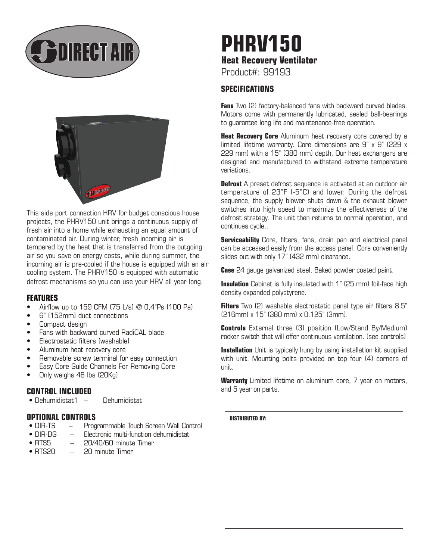



This side port connection HRV for budget conscious house projects, the PHRV150 unit brings a continuous supply of fresh air into a home while exhausting an equal amount of contaminated air. During winter, fresh incoming air is tempered by the heat that is transferred from the outgoing air so you save on energy costs, while during summer, the incoming air is pre-cooled if the house is equipped with an air cooling system. The PHRV150 is equipped with automatic defrost mechanisms so you can use your HRV all year long.

## **FEATURES**

- Airflow up to 159 CFM (75 L/s) @ 0,4"Ps (100 Pa)
- 6" (152mm) duct connections
- Compact design
- Fans with backward curved RadiCAL blade
- Electrostatic filters (washable)
- Aluminum heat recovery core
- Removable screw terminal for easy connection
- Easy Core Guide Channels For Removing Core
- Only weighs 46 lbs (20Kg)

## **CONTROL INCLUDED**

• Dehumidistat1 – Dehumidistat

## **OPTIONAL CONTROLS**

- DIR-TS Programmable Touch Screen Wall Control
- DIR-DG Electronic multi-function dehumidistat
- RTS5  $-$  20/40/60 minute Timer<br>• RTS20  $-$  20 minute Timer
- $-$  20 minute Timer

# **PHRV150 Heat Recovery Ventilator**  Product#: 99193

# **SPECIFICATIONS**

**Fans** Two (2) factory-balanced fans with backward curved blades. Motors come with permanently lubricated, sealed ball-bearings to guarantee long life and maintenance-free operation.

**Heat Recovery Core** Aluminum heat recovery core covered by a limited lifetime warranty. Core dimensions are 9" x 9" (229 x 229 mm) with a 15" (380 mm) depth. Our heat exchangers are designed and manufactured to withstand extreme temperature variations.

**Defrost** A preset defrost sequence is activated at an outdoor air temperature of 23°F (-5°C) and lower. During the defrost sequence, the supply blower shuts down & the exhaust blower switches into high speed to maximize the effectiveness of the defrost strategy. The unit then returns to normal operation, and continues cycle..

**Serviceability** Core, filters, fans, drain pan and electrical panel can be accessed easily from the access panel. Core conveniently slides out with only 17" (432 mm) clearance.

**Case** 24 gauge galvanized steel. Baked powder coated paint.

**Insulation** Cabinet is fully insulated with 1" (25 mm) foil-face high density expanded polystyrene.

**Filters** Two (2) washable electrostatic panel type air filters 8.5" (216mm) x 15" (380 mm) x 0.125" (3mm).

**Controls** External three (3) position (Low/Stand By/Medium) rocker switch that will offer continuous ventilation. (see controls)

**Installation** Unit is typically hung by using installation kit supplied with unit. Mounting bolts provided on top four (4) corners of unit.

**Warranty** Limited lifetime on aluminum core, 7 year on motors, and 5 year on parts.

**DISTRIBUTED BY:**